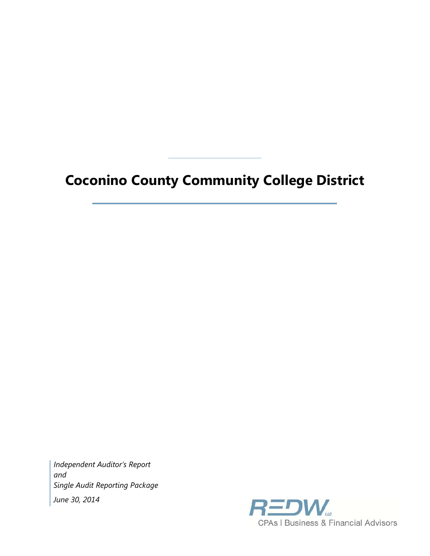**Coconino County Community College District** 

*Independent Auditor's Report and Single Audit Reporting Package June 30, 2014* 

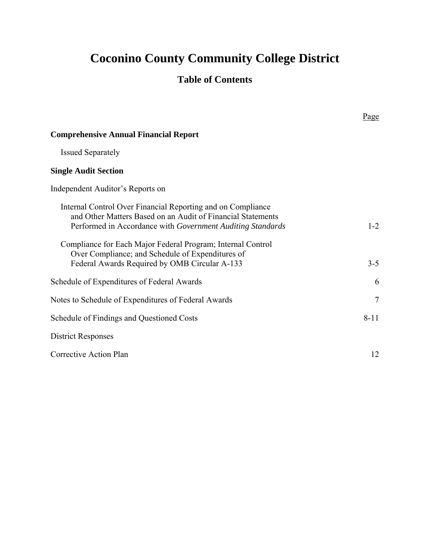# **Coconino County Community College District**

# **Table of Contents**

|                                                                                                                                                                                          | <u>Page</u>    |
|------------------------------------------------------------------------------------------------------------------------------------------------------------------------------------------|----------------|
| <b>Comprehensive Annual Financial Report</b>                                                                                                                                             |                |
| <b>Issued Separately</b>                                                                                                                                                                 |                |
| <b>Single Audit Section</b>                                                                                                                                                              |                |
| Independent Auditor's Reports on                                                                                                                                                         |                |
| Internal Control Over Financial Reporting and on Compliance<br>and Other Matters Based on an Audit of Financial Statements<br>Performed in Accordance with Government Auditing Standards | $1 - 2$        |
| Compliance for Each Major Federal Program; Internal Control<br>Over Compliance; and Schedule of Expenditures of<br>Federal Awards Required by OMB Circular A-133                         | $3 - 5$        |
| Schedule of Expenditures of Federal Awards                                                                                                                                               | 6              |
| Notes to Schedule of Expenditures of Federal Awards                                                                                                                                      | $\overline{7}$ |
| <b>Schedule of Findings and Questioned Costs</b>                                                                                                                                         | $8 - 11$       |
| <b>District Responses</b>                                                                                                                                                                |                |
| <b>Corrective Action Plan</b>                                                                                                                                                            | 12             |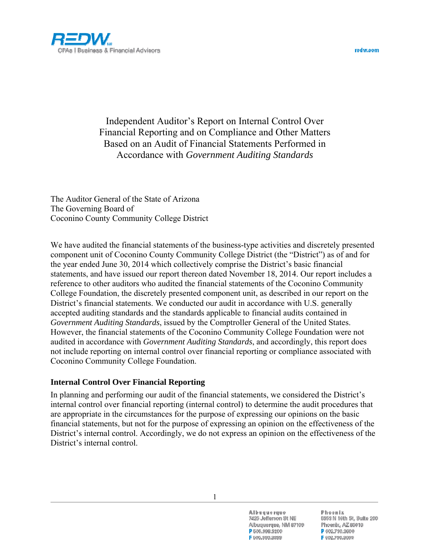

Independent Auditor's Report on Internal Control Over Financial Reporting and on Compliance and Other Matters Based on an Audit of Financial Statements Performed in Accordance with *Government Auditing Standards*

The Auditor General of the State of Arizona The Governing Board of Coconino County Community College District

We have audited the financial statements of the business-type activities and discretely presented component unit of Coconino County Community College District (the "District") as of and for the year ended June 30, 2014 which collectively comprise the District's basic financial statements, and have issued our report thereon dated November 18, 2014. Our report includes a reference to other auditors who audited the financial statements of the Coconino Community College Foundation, the discretely presented component unit, as described in our report on the District's financial statements. We conducted our audit in accordance with U.S. generally accepted auditing standards and the standards applicable to financial audits contained in *Government Auditing Standards*, issued by the Comptroller General of the United States. However, the financial statements of the Coconino Community College Foundation were not audited in accordance with *Government Auditing Standards*, and accordingly, this report does not include reporting on internal control over financial reporting or compliance associated with Coconino Community College Foundation.

#### **Internal Control Over Financial Reporting**

In planning and performing our audit of the financial statements, we considered the District's internal control over financial reporting (internal control) to determine the audit procedures that are appropriate in the circumstances for the purpose of expressing our opinions on the basic financial statements, but not for the purpose of expressing an opinion on the effectiveness of the District's internal control. Accordingly, we do not express an opinion on the effectiveness of the District's internal control.

1

**Albuquerque** 7425 Jefferson St NE Albuquerque, NM 87109 P 505,998,3200 F 505,998,3399

Phoenix 5353 N 16th St, Suite 200 Phoenix, AZ 85016 P 602,730,3600 F 602.790.3099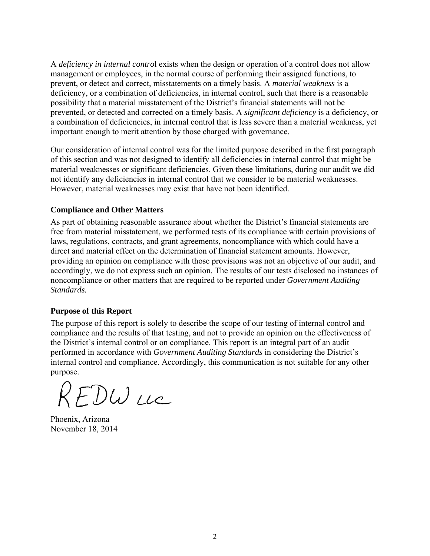A *deficiency in internal contro*l exists when the design or operation of a control does not allow management or employees, in the normal course of performing their assigned functions, to prevent, or detect and correct, misstatements on a timely basis. A *material weakness* is a deficiency, or a combination of deficiencies, in internal control, such that there is a reasonable possibility that a material misstatement of the District's financial statements will not be prevented, or detected and corrected on a timely basis. A *significant deficiency* is a deficiency, or a combination of deficiencies, in internal control that is less severe than a material weakness, yet important enough to merit attention by those charged with governance.

Our consideration of internal control was for the limited purpose described in the first paragraph of this section and was not designed to identify all deficiencies in internal control that might be material weaknesses or significant deficiencies. Given these limitations, during our audit we did not identify any deficiencies in internal control that we consider to be material weaknesses. However, material weaknesses may exist that have not been identified.

#### **Compliance and Other Matters**

As part of obtaining reasonable assurance about whether the District's financial statements are free from material misstatement, we performed tests of its compliance with certain provisions of laws, regulations, contracts, and grant agreements, noncompliance with which could have a direct and material effect on the determination of financial statement amounts. However, providing an opinion on compliance with those provisions was not an objective of our audit, and accordingly, we do not express such an opinion. The results of our tests disclosed no instances of noncompliance or other matters that are required to be reported under *Government Auditing Standards.*

#### **Purpose of this Report**

The purpose of this report is solely to describe the scope of our testing of internal control and compliance and the results of that testing, and not to provide an opinion on the effectiveness of the District's internal control or on compliance. This report is an integral part of an audit performed in accordance with *Government Auditing Standards* in considering the District's internal control and compliance. Accordingly, this communication is not suitable for any other purpose.

 $EDW$ uc

Phoenix, Arizona November 18, 2014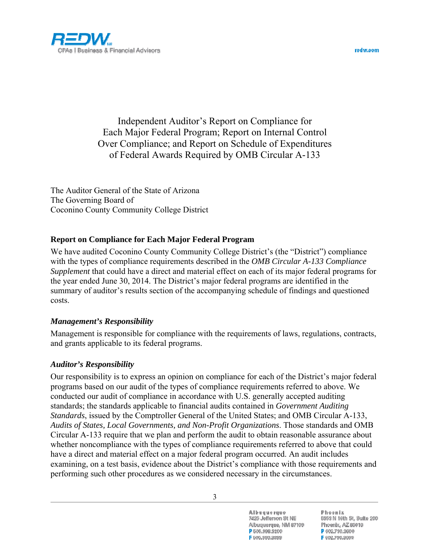

Independent Auditor's Report on Compliance for Each Major Federal Program; Report on Internal Control Over Compliance; and Report on Schedule of Expenditures of Federal Awards Required by OMB Circular A-133

The Auditor General of the State of Arizona The Governing Board of Coconino County Community College District

#### **Report on Compliance for Each Major Federal Program**

We have audited Coconino County Community College District's (the "District") compliance with the types of compliance requirements described in the *OMB Circular A-133 Compliance Supplement* that could have a direct and material effect on each of its major federal programs for the year ended June 30, 2014. The District's major federal programs are identified in the summary of auditor's results section of the accompanying schedule of findings and questioned costs.

#### *Management's Responsibility*

Management is responsible for compliance with the requirements of laws, regulations, contracts, and grants applicable to its federal programs.

#### *Auditor's Responsibility*

Our responsibility is to express an opinion on compliance for each of the District's major federal programs based on our audit of the types of compliance requirements referred to above. We conducted our audit of compliance in accordance with U.S. generally accepted auditing standards; the standards applicable to financial audits contained in *Government Auditing Standards*, issued by the Comptroller General of the United States; and OMB Circular A-133, *Audits of States, Local Governments, and Non-Profit Organizations*. Those standards and OMB Circular A-133 require that we plan and perform the audit to obtain reasonable assurance about whether noncompliance with the types of compliance requirements referred to above that could have a direct and material effect on a major federal program occurred. An audit includes examining, on a test basis, evidence about the District's compliance with those requirements and performing such other procedures as we considered necessary in the circumstances.

3

**Albuquerque** 7425 Jefferson St NE Albuquerque, NM 87109 P 505,998,3200 F 505,998,3399

Phoenix 5353 N 16th St, Suite 200 Phoenix, AZ 85016 P 602,730,3600 F 602.790.3099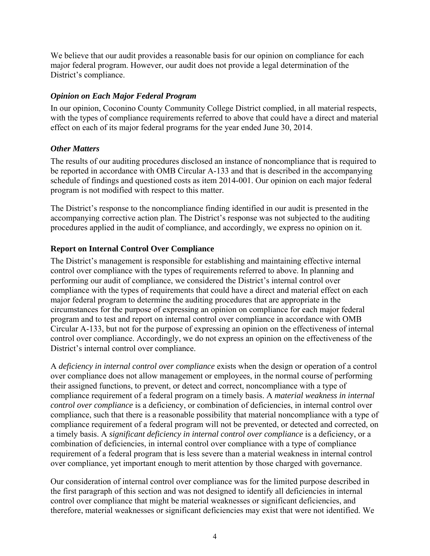We believe that our audit provides a reasonable basis for our opinion on compliance for each major federal program. However, our audit does not provide a legal determination of the District's compliance.

#### *Opinion on Each Major Federal Program*

In our opinion, Coconino County Community College District complied, in all material respects, with the types of compliance requirements referred to above that could have a direct and material effect on each of its major federal programs for the year ended June 30, 2014.

#### *Other Matters*

The results of our auditing procedures disclosed an instance of noncompliance that is required to be reported in accordance with OMB Circular A-133 and that is described in the accompanying schedule of findings and questioned costs as item 2014-001. Our opinion on each major federal program is not modified with respect to this matter.

The District's response to the noncompliance finding identified in our audit is presented in the accompanying corrective action plan. The District's response was not subjected to the auditing procedures applied in the audit of compliance, and accordingly, we express no opinion on it.

#### **Report on Internal Control Over Compliance**

The District's management is responsible for establishing and maintaining effective internal control over compliance with the types of requirements referred to above. In planning and performing our audit of compliance, we considered the District's internal control over compliance with the types of requirements that could have a direct and material effect on each major federal program to determine the auditing procedures that are appropriate in the circumstances for the purpose of expressing an opinion on compliance for each major federal program and to test and report on internal control over compliance in accordance with OMB Circular A-133, but not for the purpose of expressing an opinion on the effectiveness of internal control over compliance. Accordingly, we do not express an opinion on the effectiveness of the District's internal control over compliance.

A *deficiency in internal control over compliance* exists when the design or operation of a control over compliance does not allow management or employees, in the normal course of performing their assigned functions, to prevent, or detect and correct, noncompliance with a type of compliance requirement of a federal program on a timely basis. A *material weakness in internal control over compliance* is a deficiency, or combination of deficiencies, in internal control over compliance, such that there is a reasonable possibility that material noncompliance with a type of compliance requirement of a federal program will not be prevented, or detected and corrected, on a timely basis. A *significant deficiency in internal control over compliance* is a deficiency, or a combination of deficiencies, in internal control over compliance with a type of compliance requirement of a federal program that is less severe than a material weakness in internal control over compliance, yet important enough to merit attention by those charged with governance.

Our consideration of internal control over compliance was for the limited purpose described in the first paragraph of this section and was not designed to identify all deficiencies in internal control over compliance that might be material weaknesses or significant deficiencies, and therefore, material weaknesses or significant deficiencies may exist that were not identified. We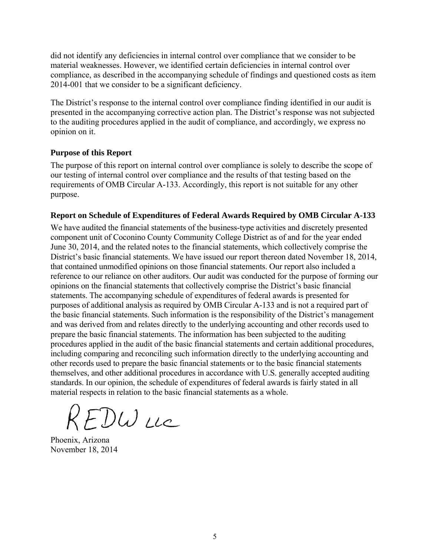did not identify any deficiencies in internal control over compliance that we consider to be material weaknesses. However, we identified certain deficiencies in internal control over compliance, as described in the accompanying schedule of findings and questioned costs as item 2014-001 that we consider to be a significant deficiency.

The District's response to the internal control over compliance finding identified in our audit is presented in the accompanying corrective action plan. The District's response was not subjected to the auditing procedures applied in the audit of compliance, and accordingly, we express no opinion on it.

#### **Purpose of this Report**

The purpose of this report on internal control over compliance is solely to describe the scope of our testing of internal control over compliance and the results of that testing based on the requirements of OMB Circular A-133. Accordingly, this report is not suitable for any other purpose.

#### **Report on Schedule of Expenditures of Federal Awards Required by OMB Circular A-133**

We have audited the financial statements of the business-type activities and discretely presented component unit of Coconino County Community College District as of and for the year ended June 30, 2014, and the related notes to the financial statements, which collectively comprise the District's basic financial statements. We have issued our report thereon dated November 18, 2014, that contained unmodified opinions on those financial statements. Our report also included a reference to our reliance on other auditors. Our audit was conducted for the purpose of forming our opinions on the financial statements that collectively comprise the District's basic financial statements. The accompanying schedule of expenditures of federal awards is presented for purposes of additional analysis as required by OMB Circular A-133 and is not a required part of the basic financial statements. Such information is the responsibility of the District's management and was derived from and relates directly to the underlying accounting and other records used to prepare the basic financial statements. The information has been subjected to the auditing procedures applied in the audit of the basic financial statements and certain additional procedures, including comparing and reconciling such information directly to the underlying accounting and other records used to prepare the basic financial statements or to the basic financial statements themselves, and other additional procedures in accordance with U.S. generally accepted auditing standards. In our opinion, the schedule of expenditures of federal awards is fairly stated in all material respects in relation to the basic financial statements as a whole.

REDW uc

Phoenix, Arizona November 18, 2014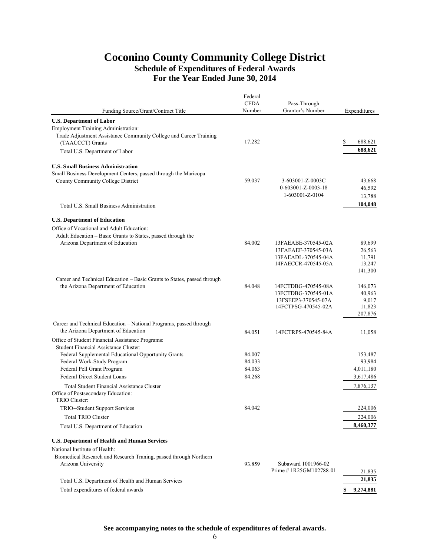# **Coconino County Community College District Schedule of Expenditures of Federal Awards For the Year Ended June 30, 2014**

| Funding Source/Grant/Contract Title                                                                                          | Federal<br><b>CFDA</b><br>Number | Pass-Through<br>Grantor's Number                                  | Expenditures               |
|------------------------------------------------------------------------------------------------------------------------------|----------------------------------|-------------------------------------------------------------------|----------------------------|
| <b>U.S. Department of Labor</b>                                                                                              |                                  |                                                                   |                            |
| Employment Training Administration:<br>Trade Adjustment Assistance Community College and Career Training<br>(TAACCCT) Grants | 17.282                           |                                                                   | \$<br>688,621              |
| Total U.S. Department of Labor                                                                                               |                                  |                                                                   | 688,621                    |
|                                                                                                                              |                                  |                                                                   |                            |
| <b>U.S. Small Business Administration</b><br>Small Business Development Centers, passed through the Maricopa                 |                                  |                                                                   |                            |
| County Community College District                                                                                            | 59.037                           | 3-603001-Z-0003C<br>0-603001-Z-0003-18<br>1-603001-Z-0104         | 43,668<br>46,592<br>13,788 |
| Total U.S. Small Business Administration                                                                                     |                                  |                                                                   | 104,048                    |
| <b>U.S. Department of Education</b>                                                                                          |                                  |                                                                   |                            |
| Office of Vocational and Adult Education:                                                                                    |                                  |                                                                   |                            |
| Adult Education - Basic Grants to States, passed through the<br>Arizona Department of Education                              | 84.002                           | 13FAEABE-370545-02A                                               | 89,699                     |
|                                                                                                                              |                                  | 13FAEAEF-370545-03A<br>13FAEADL-370545-04A<br>14FAECCR-470545-05A | 26,563<br>11,791<br>13,247 |
|                                                                                                                              |                                  |                                                                   | 141,300                    |
| Career and Technical Education - Basic Grants to States, passed through<br>the Arizona Department of Education               | 84.048                           | 14FCTDBG-470545-08A<br>13FCTDBG-370545-01A<br>13FSEEP3-370545-07A | 146,073<br>40,963<br>9,017 |
|                                                                                                                              |                                  | 14FCTPSG-470545-02A                                               | 11,823<br>207,876          |
| Career and Technical Education - National Programs, passed through<br>the Arizona Department of Education                    | 84.051                           | 14FCTRPS-470545-84A                                               | 11,058                     |
| Office of Student Financial Assistance Programs:<br>Student Financial Assistance Cluster:                                    |                                  |                                                                   |                            |
| Federal Supplemental Educational Opportunity Grants                                                                          | 84.007                           |                                                                   | 153,487                    |
| Federal Work-Study Program                                                                                                   | 84.033                           |                                                                   | 93,984                     |
| Federal Pell Grant Program                                                                                                   | 84.063                           |                                                                   | 4,011,180                  |
| <b>Federal Direct Student Loans</b>                                                                                          | 84.268                           |                                                                   | 3,617,486                  |
| <b>Total Student Financial Assistance Cluster</b><br>Office of Postsecondary Education:<br>TRIO Cluster:                     |                                  |                                                                   | 7,876,137                  |
| TRIO--Student Support Services                                                                                               | 84.042                           |                                                                   | 224,006                    |
| <b>Total TRIO Cluster</b>                                                                                                    |                                  |                                                                   | 224,006                    |
| Total U.S. Department of Education                                                                                           |                                  |                                                                   | 8,460,377                  |
| <b>U.S. Department of Health and Human Services</b>                                                                          |                                  |                                                                   |                            |
| National Institute of Health:                                                                                                |                                  |                                                                   |                            |
| Biomedical Research and Research Traning, passed through Northern                                                            |                                  |                                                                   |                            |
| Arizona University                                                                                                           | 93.859                           | Subaward 1001966-02                                               |                            |
|                                                                                                                              |                                  | Prime #1R25GM102788-01                                            | 21,835                     |
| Total U.S. Department of Health and Human Services                                                                           |                                  |                                                                   | 21,835                     |
| Total expenditures of federal awards                                                                                         |                                  |                                                                   | 9,274,881<br>\$            |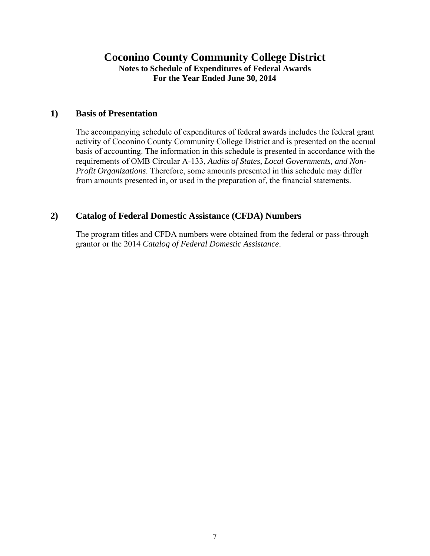# **Coconino County Community College District Notes to Schedule of Expenditures of Federal Awards For the Year Ended June 30, 2014**

#### **1) Basis of Presentation**

The accompanying schedule of expenditures of federal awards includes the federal grant activity of Coconino County Community College District and is presented on the accrual basis of accounting. The information in this schedule is presented in accordance with the requirements of OMB Circular A-133, *Audits of States, Local Governments, and Non-Profit Organizations*. Therefore, some amounts presented in this schedule may differ from amounts presented in, or used in the preparation of, the financial statements.

#### **2) Catalog of Federal Domestic Assistance (CFDA) Numbers**

The program titles and CFDA numbers were obtained from the federal or pass-through grantor or the 2014 *Catalog of Federal Domestic Assistance*.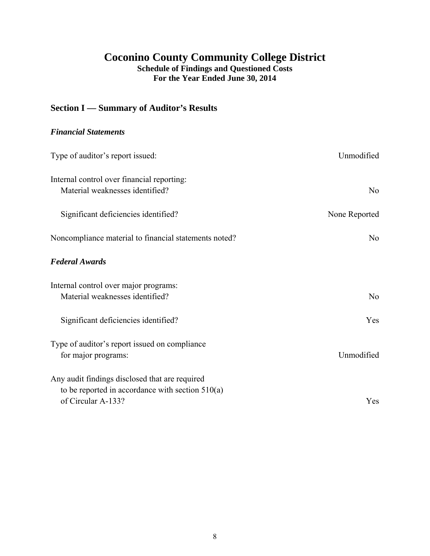# **Coconino County Community College District Schedule of Findings and Questioned Costs**

**For the Year Ended June 30, 2014** 

# **Section I — Summary of Auditor's Results**

# *Financial Statements*

| Type of auditor's report issued:                                                                                           | Unmodified     |
|----------------------------------------------------------------------------------------------------------------------------|----------------|
| Internal control over financial reporting:<br>Material weaknesses identified?                                              | No             |
| Significant deficiencies identified?                                                                                       | None Reported  |
| Noncompliance material to financial statements noted?                                                                      | N <sub>0</sub> |
| <b>Federal Awards</b>                                                                                                      |                |
| Internal control over major programs:<br>Material weaknesses identified?                                                   | No             |
| Significant deficiencies identified?                                                                                       | Yes            |
| Type of auditor's report issued on compliance<br>for major programs:                                                       | Unmodified     |
| Any audit findings disclosed that are required<br>to be reported in accordance with section $510(a)$<br>of Circular A-133? | Yes            |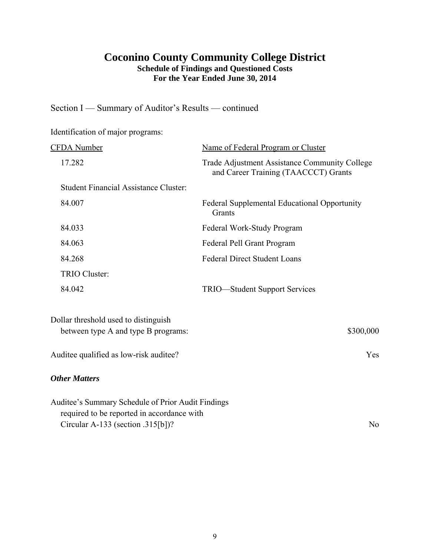# **Coconino County Community College District Schedule of Findings and Questioned Costs For the Year Ended June 30, 2014**

Section I — Summary of Auditor's Results — continued

Identification of major programs:

| CFDA Number                                  | Name of Federal Program or Cluster                                                    |
|----------------------------------------------|---------------------------------------------------------------------------------------|
| 17.282                                       | Trade Adjustment Assistance Community College<br>and Career Training (TAACCCT) Grants |
| <b>Student Financial Assistance Cluster:</b> |                                                                                       |
| 84.007                                       | <b>Federal Supplemental Educational Opportunity</b><br>Grants                         |
| 84.033                                       | Federal Work-Study Program                                                            |
| 84.063                                       | Federal Pell Grant Program                                                            |
| 84.268                                       | Federal Direct Student Loans                                                          |
| <b>TRIO Cluster:</b>                         |                                                                                       |
| 84.042                                       | TRIO—Student Support Services                                                         |
|                                              |                                                                                       |

| Dollar threshold used to distinguish<br>between type A and type B programs: | \$300,000 |
|-----------------------------------------------------------------------------|-----------|
| Auditee qualified as low-risk auditee?                                      | Yes.      |
| <b>Other Matters</b>                                                        |           |

# Auditee's Summary Schedule of Prior Audit Findings required to be reported in accordance with Circular A-133 (section .315[b])? No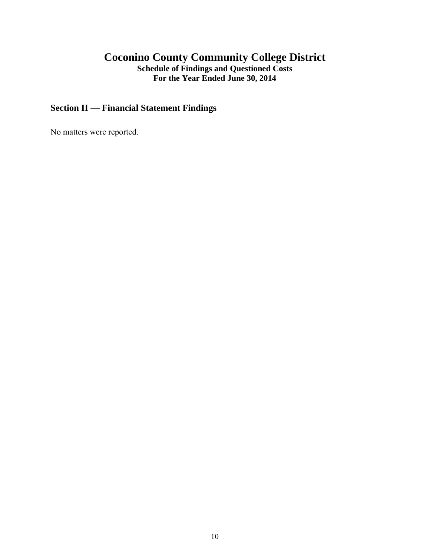### **Coconino County Community College District Schedule of Findings and Questioned Costs For the Year Ended June 30, 2014**

# **Section II — Financial Statement Findings**

No matters were reported.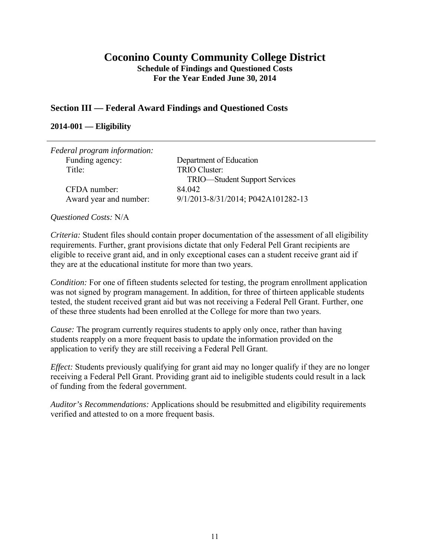# **Coconino County Community College District Schedule of Findings and Questioned Costs For the Year Ended June 30, 2014**

#### **Section III — Federal Award Findings and Questioned Costs**

#### **2014-001 — Eligibility**

| Department of Education            |
|------------------------------------|
| <b>TRIO Cluster:</b>               |
| TRIO—Student Support Services      |
| 84.042                             |
| 9/1/2013-8/31/2014; P042A101282-13 |
|                                    |

*Questioned Costs:* N/A

*Criteria:* Student files should contain proper documentation of the assessment of all eligibility requirements. Further, grant provisions dictate that only Federal Pell Grant recipients are eligible to receive grant aid, and in only exceptional cases can a student receive grant aid if they are at the educational institute for more than two years.

*Condition:* For one of fifteen students selected for testing, the program enrollment application was not signed by program management. In addition, for three of thirteen applicable students tested, the student received grant aid but was not receiving a Federal Pell Grant. Further, one of these three students had been enrolled at the College for more than two years.

*Cause:* The program currently requires students to apply only once, rather than having students reapply on a more frequent basis to update the information provided on the application to verify they are still receiving a Federal Pell Grant.

*Effect:* Students previously qualifying for grant aid may no longer qualify if they are no longer receiving a Federal Pell Grant. Providing grant aid to ineligible students could result in a lack of funding from the federal government.

*Auditor's Recommendations:* Applications should be resubmitted and eligibility requirements verified and attested to on a more frequent basis.